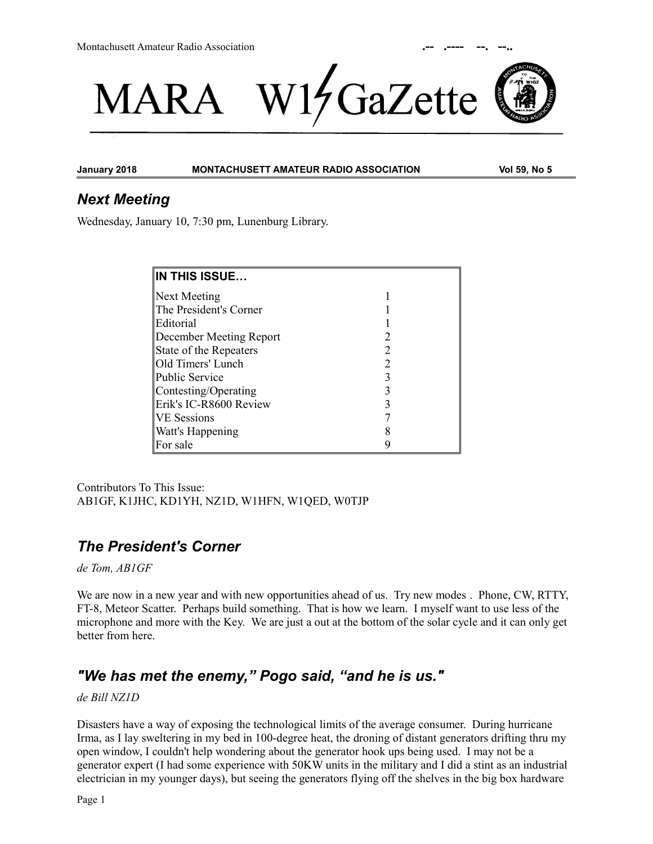



**January 2018 MONTACHUSETT AMATEUR RADIO ASSOCIATION Vol 59, No 5**

## *Next Meeting*

Wednesday, January 10, 7:30 pm, Lunenburg Library.

| IN THIS ISSUE           |  |
|-------------------------|--|
| Next Meeting            |  |
| The President's Corner  |  |
| Editorial               |  |
| December Meeting Report |  |
| State of the Repeaters  |  |
| Old Timers' Lunch       |  |
| Public Service          |  |
| Contesting/Operating    |  |
| Erik's IC-R8600 Review  |  |
| <b>VE Sessions</b>      |  |
| <b>Watt's Happening</b> |  |
| For sale                |  |

Contributors To This Issue: AB1GF, K1JHC, KD1YH, NZ1D, W1HFN, W1QED, W0TJP

# *The President's Corner*

*de Tom, AB1GF*

We are now in a new year and with new opportunities ahead of us. Try new modes . Phone, CW, RTTY, FT-8, Meteor Scatter. Perhaps build something. That is how we learn. I myself want to use less of the microphone and more with the Key. We are just a out at the bottom of the solar cycle and it can only get better from here.

# *"We has met the enemy," Pogo said, "and he is us."*

*de Bill NZ1D*

Disasters have a way of exposing the technological limits of the average consumer. During hurricane Irma, as I lay sweltering in my bed in 100-degree heat, the droning of distant generators drifting thru my open window, I couldn't help wondering about the generator hook ups being used. I may not be a generator expert (I had some experience with 50KW units in the military and I did a stint as an industrial electrician in my younger days), but seeing the generators flying off the shelves in the big box hardware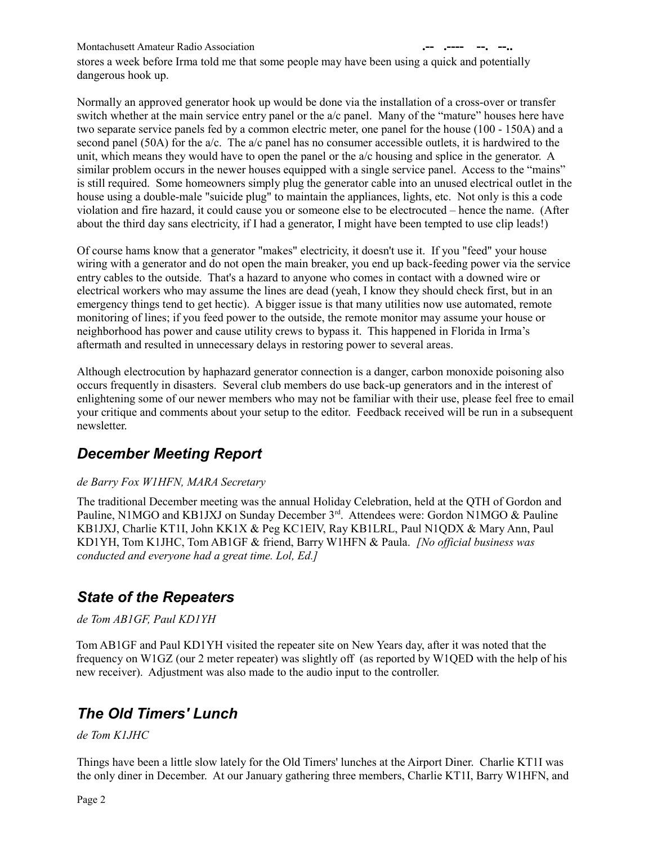stores a week before Irma told me that some people may have been using a quick and potentially dangerous hook up.

Normally an approved generator hook up would be done via the installation of a cross-over or transfer switch whether at the main service entry panel or the a/c panel. Many of the "mature" houses here have two separate service panels fed by a common electric meter, one panel for the house (100 - 150A) and a second panel (50A) for the  $a/c$ . The  $a/c$  panel has no consumer accessible outlets, it is hardwired to the unit, which means they would have to open the panel or the a/c housing and splice in the generator. A similar problem occurs in the newer houses equipped with a single service panel. Access to the "mains" is still required. Some homeowners simply plug the generator cable into an unused electrical outlet in the house using a double-male "suicide plug" to maintain the appliances, lights, etc. Not only is this a code violation and fire hazard, it could cause you or someone else to be electrocuted – hence the name. (After about the third day sans electricity, if I had a generator, I might have been tempted to use clip leads!)

Of course hams know that a generator "makes" electricity, it doesn't use it. If you "feed" your house wiring with a generator and do not open the main breaker, you end up back-feeding power via the service entry cables to the outside. That's a hazard to anyone who comes in contact with a downed wire or electrical workers who may assume the lines are dead (yeah, I know they should check first, but in an emergency things tend to get hectic). A bigger issue is that many utilities now use automated, remote monitoring of lines; if you feed power to the outside, the remote monitor may assume your house or neighborhood has power and cause utility crews to bypass it. This happened in Florida in Irma's aftermath and resulted in unnecessary delays in restoring power to several areas.

Although electrocution by haphazard generator connection is a danger, carbon monoxide poisoning also occurs frequently in disasters. Several club members do use back-up generators and in the interest of enlightening some of our newer members who may not be familiar with their use, please feel free to email your critique and comments about your setup to the editor. Feedback received will be run in a subsequent newsletter.

# *December Meeting Report*

### *de Barry Fox W1HFN, MARA Secretary*

The traditional December meeting was the annual Holiday Celebration, held at the QTH of Gordon and Pauline, N1MGO and KB1JXJ on Sunday December 3<sup>rd</sup>. Attendees were: Gordon N1MGO & Pauline KB1JXJ, Charlie KT1I, John KK1X & Peg KC1EIV, Ray KB1LRL, Paul N1QDX & Mary Ann, Paul KD1YH, Tom K1JHC, Tom AB1GF & friend, Barry W1HFN & Paula. *[No official business was conducted and everyone had a great time. Lol, Ed.]* 

# *State of the Repeaters*

### *de Tom AB1GF, Paul KD1YH*

Tom AB1GF and Paul KD1YH visited the repeater site on New Years day, after it was noted that the frequency on W1GZ (our 2 meter repeater) was slightly off (as reported by W1QED with the help of his new receiver). Adjustment was also made to the audio input to the controller.

# *The Old Timers' Lunch*

*de Tom K1JHC*

Things have been a little slow lately for the Old Timers' lunches at the Airport Diner. Charlie KT1I was the only diner in December. At our January gathering three members, Charlie KT1I, Barry W1HFN, and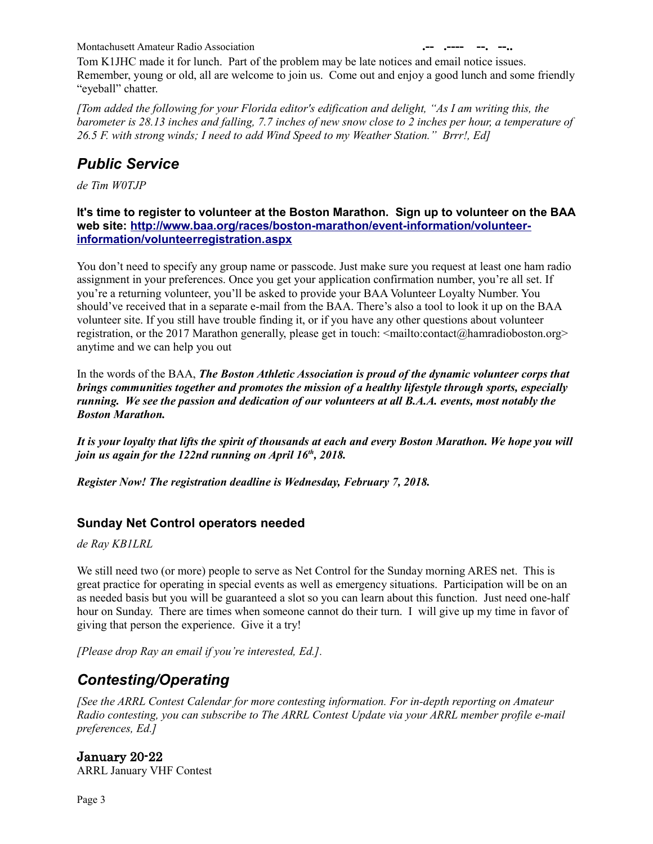Tom K1JHC made it for lunch. Part of the problem may be late notices and email notice issues. Remember, young or old, all are welcome to join us. Come out and enjoy a good lunch and some friendly "eyeball" chatter.

*[Tom added the following for your Florida editor's edification and delight, "As I am writing this, the barometer is 28.13 inches and falling, 7.7 inches of new snow close to 2 inches per hour, a temperature of 26.5 F. with strong winds; I need to add Wind Speed to my Weather Station." Brrr!, Ed]*

# *Public Service*

*de Tim W0TJP*

**It's time to register to volunteer at the Boston Marathon. Sign up to volunteer on the BAA web site: [http://www.baa.org/races/boston-marathon/event-information/volunteer](http://www.baa.org/races/boston-marathon/event-information/volunteer-information/volunteerregistration.aspx)  [information/volunteerregistration.aspx](http://www.baa.org/races/boston-marathon/event-information/volunteer-information/volunteerregistration.aspx)**

You don't need to specify any group name or passcode. Just make sure you request at least one ham radio assignment in your preferences. Once you get your application confirmation number, you're all set. If you're a returning volunteer, you'll be asked to provide your BAA Volunteer Loyalty Number. You should've received that in a separate e-mail from the BAA. There's also a tool to look it up on the BAA volunteer site. If you still have trouble finding it, or if you have any other questions about volunteer registration, or the 2017 Marathon generally, please get in touch: <mailto:contact@hamradioboston.org> anytime and we can help you out

In the words of the BAA, *The Boston Athletic Association is proud of the dynamic volunteer corps that brings communities together and promotes the mission of a healthy lifestyle through sports, especially running. We see the passion and dedication of our volunteers at all B.A.A. events, most notably the Boston Marathon.*

*It is your loyalty that lifts the spirit of thousands at each and every Boston Marathon. We hope you will join us again for the 122nd running on April 16th, 2018.*

*Register Now! The registration deadline is Wednesday, February 7, 2018.*

## **Sunday Net Control operators needed**

*de Ray KB1LRL*

We still need two (or more) people to serve as Net Control for the Sunday morning ARES net. This is great practice for operating in special events as well as emergency situations. Participation will be on an as needed basis but you will be guaranteed a slot so you can learn about this function. Just need one-half hour on Sunday. There are times when someone cannot do their turn. I will give up my time in favor of giving that person the experience. Give it a try!

*[Please drop Ray an email if you're interested, Ed.].*

# *Contesting/Operating*

*[See the ARRL Contest Calendar for more contesting information. For in-depth reporting on Amateur Radio contesting, you can subscribe to The ARRL Contest Update via your ARRL member profile e-mail preferences, Ed.]*

January 20-22

ARRL January VHF Contest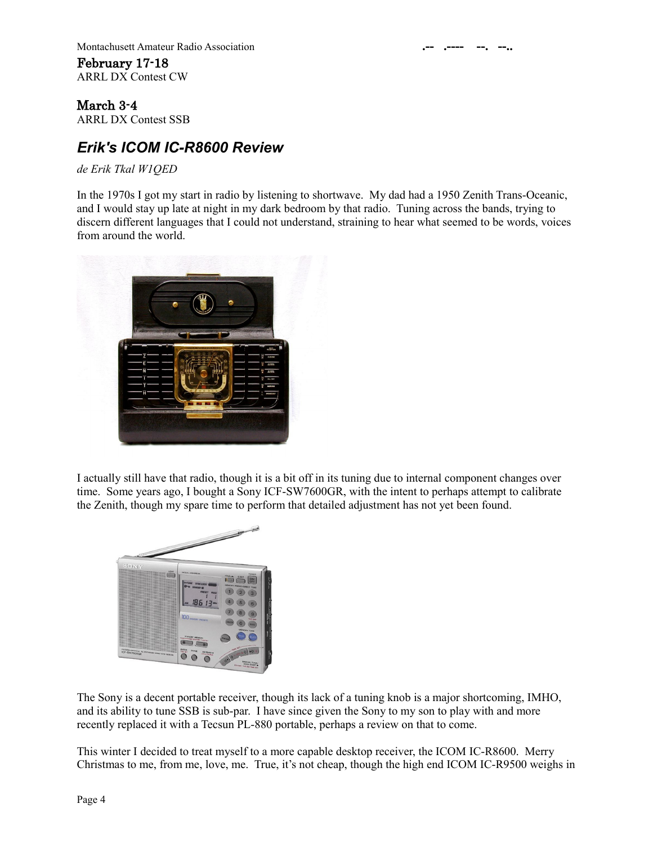**Montachusett Amateur Radio Association** February 17-18 ARRL DX Contest CW

March 3-4 ARRL DX Contest SSB

# *Erik's ICOM IC-R8600 Review*

*de Erik Tkal W1QED*

In the 1970s I got my start in radio by listening to shortwave. My dad had a 1950 Zenith Trans-Oceanic, and I would stay up late at night in my dark bedroom by that radio. Tuning across the bands, trying to discern different languages that I could not understand, straining to hear what seemed to be words, voices from around the world.



I actually still have that radio, though it is a bit off in its tuning due to internal component changes over time. Some years ago, I bought a Sony ICF-SW7600GR, with the intent to perhaps attempt to calibrate the Zenith, though my spare time to perform that detailed adjustment has not yet been found.



The Sony is a decent portable receiver, though its lack of a tuning knob is a major shortcoming, IMHO, and its ability to tune SSB is sub-par. I have since given the Sony to my son to play with and more recently replaced it with a Tecsun PL-880 portable, perhaps a review on that to come.

This winter I decided to treat myself to a more capable desktop receiver, the ICOM IC-R8600. Merry Christmas to me, from me, love, me. True, it's not cheap, though the high end ICOM IC-R9500 weighs in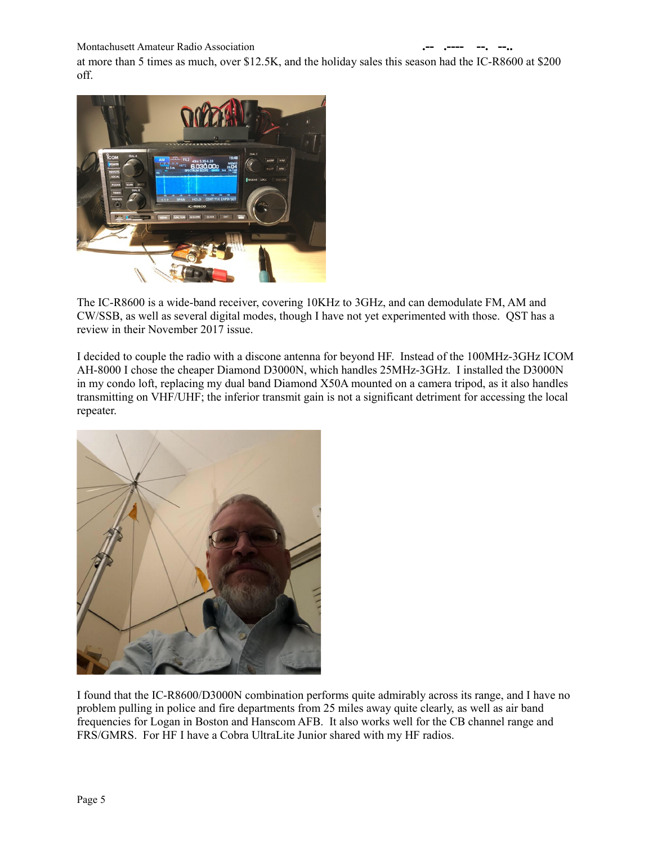at more than 5 times as much, over \$12.5K, and the holiday sales this season had the IC-R8600 at \$200 off.



The IC-R8600 is a wide-band receiver, covering 10KHz to 3GHz, and can demodulate FM, AM and CW/SSB, as well as several digital modes, though I have not yet experimented with those. QST has a review in their November 2017 issue.

I decided to couple the radio with a discone antenna for beyond HF. Instead of the 100MHz-3GHz ICOM AH-8000 I chose the cheaper Diamond D3000N, which handles 25MHz-3GHz. I installed the D3000N in my condo loft, replacing my dual band Diamond X50A mounted on a camera tripod, as it also handles transmitting on VHF/UHF; the inferior transmit gain is not a significant detriment for accessing the local repeater.



I found that the IC-R8600/D3000N combination performs quite admirably across its range, and I have no problem pulling in police and fire departments from 25 miles away quite clearly, as well as air band frequencies for Logan in Boston and Hanscom AFB. It also works well for the CB channel range and FRS/GMRS. For HF I have a Cobra UltraLite Junior shared with my HF radios.

Page 5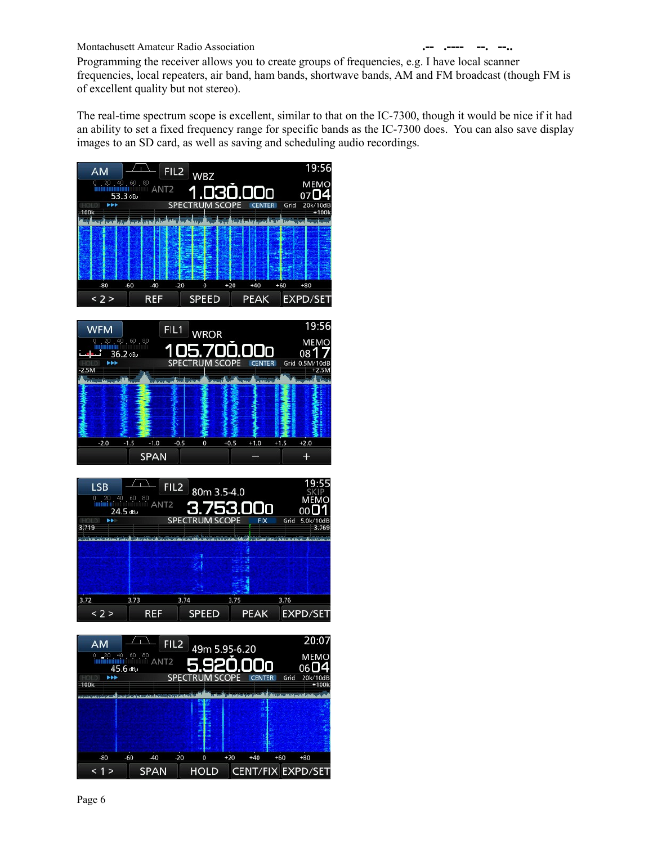Programming the receiver allows you to create groups of frequencies, e.g. I have local scanner frequencies, local repeaters, air band, ham bands, shortwave bands, AM and FM broadcast (though FM is of excellent quality but not stereo).

The real-time spectrum scope is excellent, similar to that on the IC-7300, though it would be nice if it had an ability to set a fixed frequency range for specific bands as the IC-7300 does. You can also save display images to an SD card, as well as saving and scheduling audio recordings.







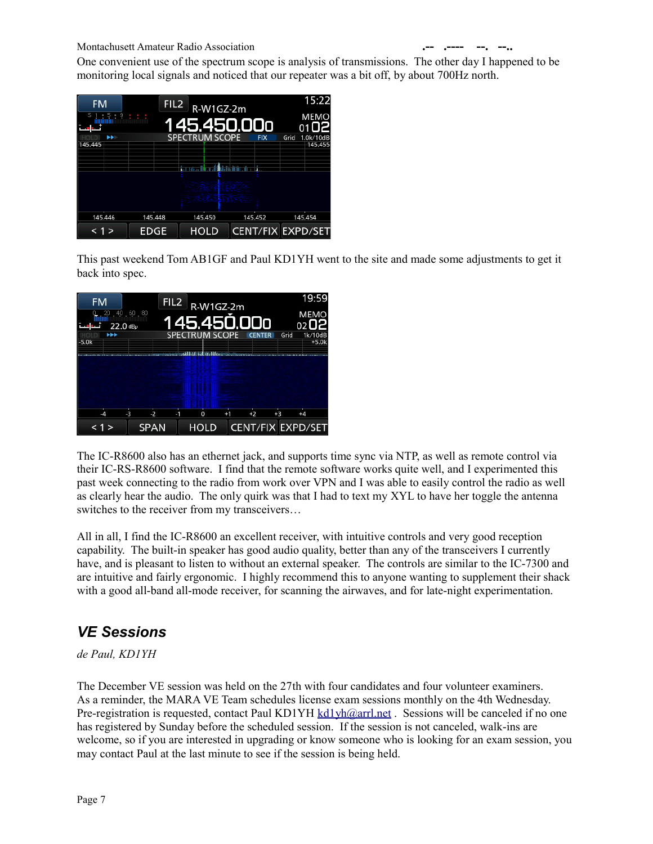One convenient use of the spectrum scope is analysis of transmissions. The other day I happened to be monitoring local signals and noticed that our repeater was a bit off, by about 700Hz north.



This past weekend Tom AB1GF and Paul KD1YH went to the site and made some adjustments to get it back into spec.

| <b>FM</b><br>40.60.80<br>20 | FIL2         | R-W1GZ-2m             |      |      | 19:59<br><b>MEMO</b>     |
|-----------------------------|--------------|-----------------------|------|------|--------------------------|
| $22.0$ dB $\mu$             |              | 145.450.000           |      |      | 02O2                     |
| $\rightarrow$<br>$-5.0k$    |              | <b>SPECTRUM SCOPE</b> |      | Grid | 1k/10dB<br>$+5.0k$       |
|                             |              |                       |      |      |                          |
|                             |              |                       |      |      |                          |
|                             |              |                       |      |      |                          |
| $-3$<br>$\mathcal{A}$       | $-2$<br>$-1$ | 0                     | $+2$ | $+3$ | $+4$                     |
|                             | <b>SPAN</b>  | <b>HOLD</b>           |      |      | <b>CENT/FIX EXPD/SET</b> |

The IC-R8600 also has an ethernet jack, and supports time sync via NTP, as well as remote control via their IC-RS-R8600 software. I find that the remote software works quite well, and I experimented this past week connecting to the radio from work over VPN and I was able to easily control the radio as well as clearly hear the audio. The only quirk was that I had to text my XYL to have her toggle the antenna switches to the receiver from my transceivers…

All in all, I find the IC-R8600 an excellent receiver, with intuitive controls and very good reception capability. The built-in speaker has good audio quality, better than any of the transceivers I currently have, and is pleasant to listen to without an external speaker. The controls are similar to the IC-7300 and are intuitive and fairly ergonomic. I highly recommend this to anyone wanting to supplement their shack with a good all-band all-mode receiver, for scanning the airwaves, and for late-night experimentation.

# *VE Sessions*

*de Paul, KD1YH*

The December VE session was held on the 27th with four candidates and four volunteer examiners. As a reminder, the MARA VE Team schedules license exam sessions monthly on the 4th Wednesday. Pre-registration is requested, contact Paul KD1YH [kd1yh@arrl.net](mailto:kd1yh@arrl.net) . Sessions will be canceled if no one has registered by Sunday before the scheduled session. If the session is not canceled, walk-ins are welcome, so if you are interested in upgrading or know someone who is looking for an exam session, you may contact Paul at the last minute to see if the session is being held.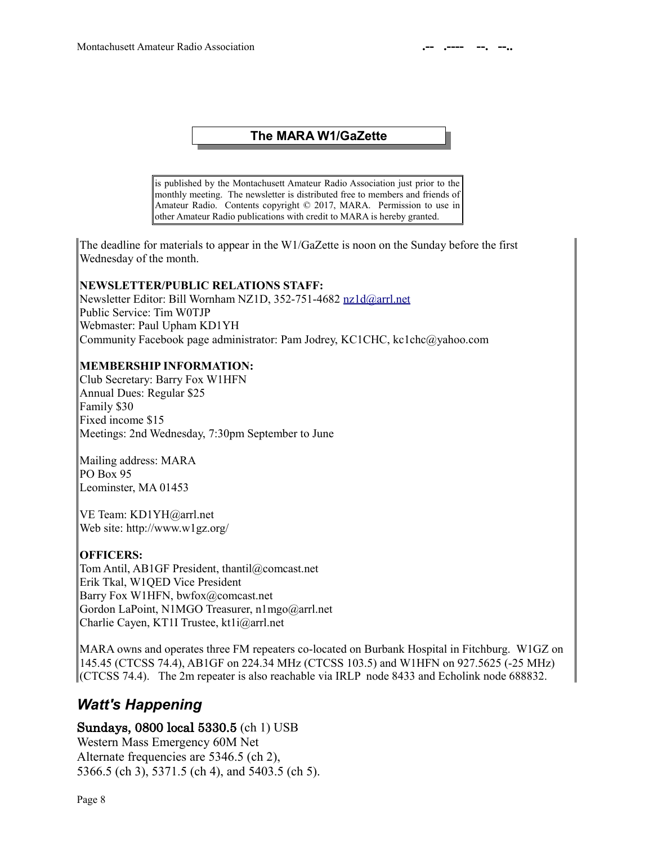### **The MARA W1/GaZette**

is published by the Montachusett Amateur Radio Association just prior to the monthly meeting. The newsletter is distributed free to members and friends of Amateur Radio. Contents copyright © 2017, MARA. Permission to use in other Amateur Radio publications with credit to MARA is hereby granted.

The deadline for materials to appear in the W1/GaZette is noon on the Sunday before the first Wednesday of the month.

#### **NEWSLETTER/PUBLIC RELATIONS STAFF:**

Newsletter Editor: Bill Wornham NZ1D, 352-751-4682 [nz1d@arrl.net](mailto:nz1d@arrl.net) Public Service: Tim W0TJP Webmaster: Paul Upham KD1YH Community Facebook page administrator: Pam Jodrey, KC1CHC, kc1chc@yahoo.com

#### **MEMBERSHIP INFORMATION:**

Club Secretary: Barry Fox W1HFN Annual Dues: Regular \$25 Family \$30 Fixed income \$15 Meetings: 2nd Wednesday, 7:30pm September to June

Mailing address: MARA PO Box 95 Leominster, MA 01453

VE Team: KD1YH@arrl.net Web site: http://www.w1gz.org/

#### **OFFICERS:**

Tom Antil, AB1GF President, thantil@comcast.net Erik Tkal, W1QED Vice President Barry Fox W1HFN, bwfox@comcast.net Gordon LaPoint, N1MGO Treasurer, n1mgo@arrl.net Charlie Cayen, KT1I Trustee, kt1i@arrl.net

MARA owns and operates three FM repeaters co-located on Burbank Hospital in Fitchburg. W1GZ on 145.45 (CTCSS 74.4), AB1GF on 224.34 MHz (CTCSS 103.5) and W1HFN on 927.5625 (-25 MHz) (CTCSS 74.4). The 2m repeater is also reachable via IRLP node 8433 and Echolink node 688832.

## *Watt's Happening*

### Sundays, 0800 local 5330.5 (ch 1) USB

Western Mass Emergency 60M Net Alternate frequencies are 5346.5 (ch 2), 5366.5 (ch 3), 5371.5 (ch 4), and 5403.5 (ch 5).